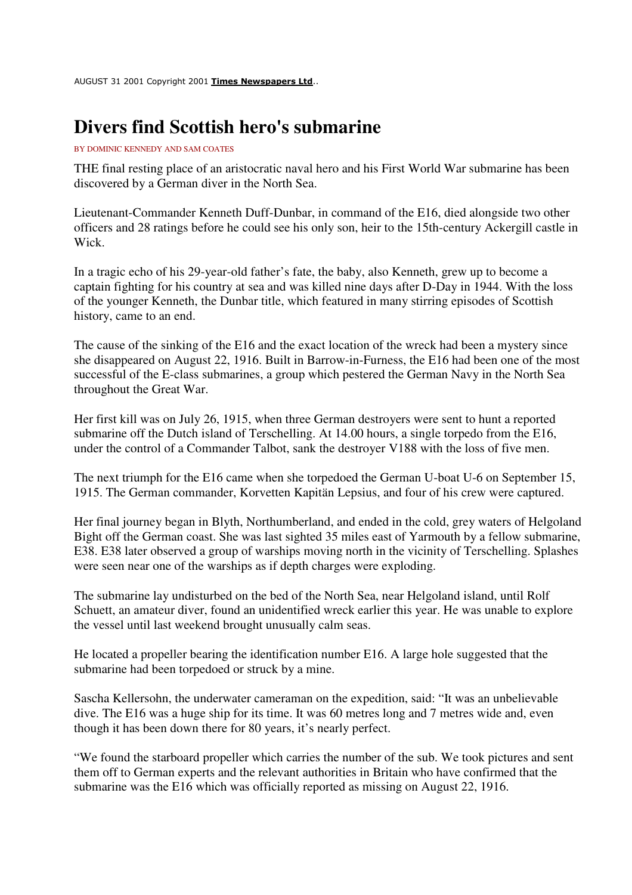AUGUST 31 2001 Copyright 2001 Times Newspapers Ltd..

## **Divers find Scottish hero's submarine**

## BY DOMINIC KENNEDY AND SAM COATES

THE final resting place of an aristocratic naval hero and his First World War submarine has been discovered by a German diver in the North Sea.

Lieutenant-Commander Kenneth Duff-Dunbar, in command of the E16, died alongside two other officers and 28 ratings before he could see his only son, heir to the 15th-century Ackergill castle in Wick.

In a tragic echo of his 29-year-old father's fate, the baby, also Kenneth, grew up to become a captain fighting for his country at sea and was killed nine days after D-Day in 1944. With the loss of the younger Kenneth, the Dunbar title, which featured in many stirring episodes of Scottish history, came to an end.

The cause of the sinking of the E16 and the exact location of the wreck had been a mystery since she disappeared on August 22, 1916. Built in Barrow-in-Furness, the E16 had been one of the most successful of the E-class submarines, a group which pestered the German Navy in the North Sea throughout the Great War.

Her first kill was on July 26, 1915, when three German destroyers were sent to hunt a reported submarine off the Dutch island of Terschelling. At 14.00 hours, a single torpedo from the E16, under the control of a Commander Talbot, sank the destroyer V188 with the loss of five men.

The next triumph for the E16 came when she torpedoed the German U-boat U-6 on September 15, 1915. The German commander, Korvetten Kapitän Lepsius, and four of his crew were captured.

Her final journey began in Blyth, Northumberland, and ended in the cold, grey waters of Helgoland Bight off the German coast. She was last sighted 35 miles east of Yarmouth by a fellow submarine, E38. E38 later observed a group of warships moving north in the vicinity of Terschelling. Splashes were seen near one of the warships as if depth charges were exploding.

The submarine lay undisturbed on the bed of the North Sea, near Helgoland island, until Rolf Schuett, an amateur diver, found an unidentified wreck earlier this year. He was unable to explore the vessel until last weekend brought unusually calm seas.

He located a propeller bearing the identification number E16. A large hole suggested that the submarine had been torpedoed or struck by a mine.

Sascha Kellersohn, the underwater cameraman on the expedition, said: "It was an unbelievable dive. The E16 was a huge ship for its time. It was 60 metres long and 7 metres wide and, even though it has been down there for 80 years, it's nearly perfect.

"We found the starboard propeller which carries the number of the sub. We took pictures and sent them off to German experts and the relevant authorities in Britain who have confirmed that the submarine was the E16 which was officially reported as missing on August 22, 1916.